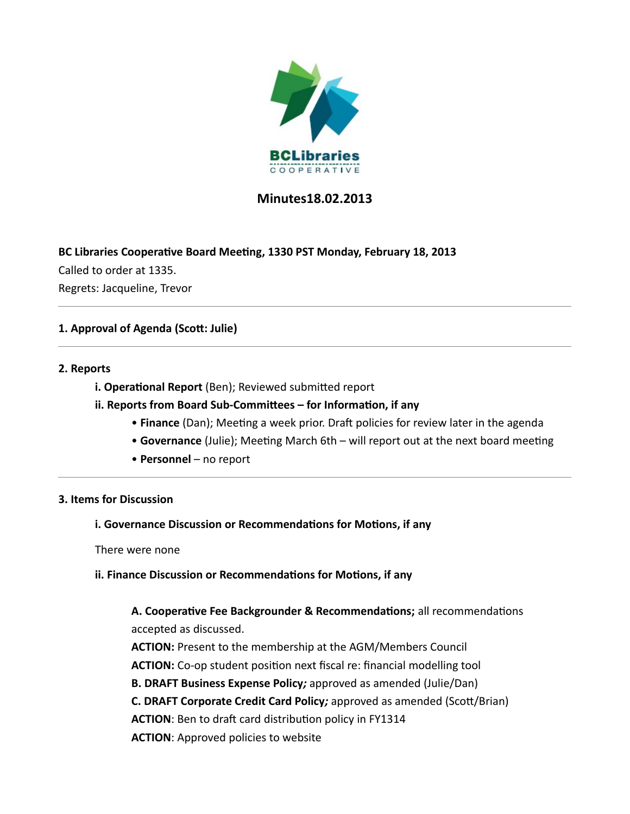

# **Minutes18.02.2013**

### **BC Libraries Cooperative Board Meeting, 1330 PST Monday, February 18, 2013**

Called to order at 1335. Regrets: Jacqueline, Trevor

## **1. Approval of Agenda (Scott: Julie)**

### **2. Reports**

**i. Operational Report** (Ben); Reviewed submitted report

### **ii. Reports from Board Sub-Committees – for Information, if any**

- **Finance** (Dan); Meeting a week prior. Draft policies for review later in the agenda
- **Governance** (Julie); Meeting March 6th will report out at the next board meeting
- **Personnel** no report

#### **3. Items for Discussion**

#### **i. Governance Discussion or Recommendations for Motions, if any**

There were none

#### **ii. Finance Discussion or Recommendations for Motions, if any**

# **A. Cooperative Fee Backgrounder & Recommendations;** all recommendations accepted as discussed.

**ACTION:** Present to the membership at the AGM/Members Council **ACTION:** Co-op student position next fiscal re: financial modelling tool **B. DRAFT Business Expense Policy***;* approved as amended (Julie/Dan) **C. DRAFT Corporate Credit Card Policy***;* approved as amended (Scott/Brian) **ACTION**: Ben to draft card distribution policy in FY1314 **ACTION**: Approved policies to website